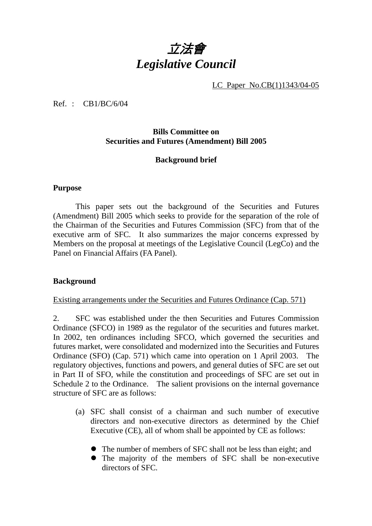

LC Paper No.CB(1)1343/04-05

Ref. : CB1/BC/6/04

# **Bills Committee on Securities and Futures (Amendment) Bill 2005**

# **Background brief**

#### **Purpose**

 This paper sets out the background of the Securities and Futures (Amendment) Bill 2005 which seeks to provide for the separation of the role of the Chairman of the Securities and Futures Commission (SFC) from that of the executive arm of SFC. It also summarizes the major concerns expressed by Members on the proposal at meetings of the Legislative Council (LegCo) and the Panel on Financial Affairs (FA Panel).

# **Background**

#### Existing arrangements under the Securities and Futures Ordinance (Cap. 571)

2. SFC was established under the then Securities and Futures Commission Ordinance (SFCO) in 1989 as the regulator of the securities and futures market. In 2002, ten ordinances including SFCO, which governed the securities and futures market, were consolidated and modernized into the Securities and Futures Ordinance (SFO) (Cap. 571) which came into operation on 1 April 2003. The regulatory objectives, functions and powers, and general duties of SFC are set out in Part II of SFO, while the constitution and proceedings of SFC are set out in Schedule 2 to the Ordinance. The salient provisions on the internal governance structure of SFC are as follows:

- (a) SFC shall consist of a chairman and such number of executive directors and non-executive directors as determined by the Chief Executive (CE), all of whom shall be appointed by CE as follows:
	- The number of members of SFC shall not be less than eight; and
	- The majority of the members of SFC shall be non-executive directors of SFC.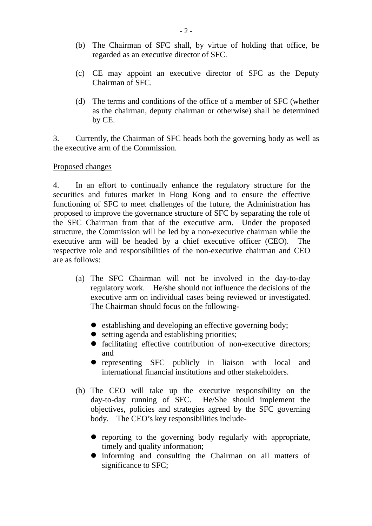- (b) The Chairman of SFC shall, by virtue of holding that office, be regarded as an executive director of SFC.
- (c) CE may appoint an executive director of SFC as the Deputy Chairman of SFC.
- (d) The terms and conditions of the office of a member of SFC (whether as the chairman, deputy chairman or otherwise) shall be determined by CE.

3. Currently, the Chairman of SFC heads both the governing body as well as the executive arm of the Commission.

#### Proposed changes

4. In an effort to continually enhance the regulatory structure for the securities and futures market in Hong Kong and to ensure the effective functioning of SFC to meet challenges of the future, the Administration has proposed to improve the governance structure of SFC by separating the role of the SFC Chairman from that of the executive arm. Under the proposed structure, the Commission will be led by a non-executive chairman while the executive arm will be headed by a chief executive officer (CEO). The respective role and responsibilities of the non-executive chairman and CEO are as follows:

- (a) The SFC Chairman will not be involved in the day-to-day regulatory work. He/she should not influence the decisions of the executive arm on individual cases being reviewed or investigated. The Chairman should focus on the following-
	- establishing and developing an effective governing body;
	- $\bullet$  setting agenda and establishing priorities;
	- facilitating effective contribution of non-executive directors; and
	- representing SFC publicly in liaison with local and international financial institutions and other stakeholders.
- (b) The CEO will take up the executive responsibility on the day-to-day running of SFC. He/She should implement the objectives, policies and strategies agreed by the SFC governing body. The CEO's key responsibilities include-
	- reporting to the governing body regularly with appropriate, timely and quality information;
	- ! informing and consulting the Chairman on all matters of significance to SFC;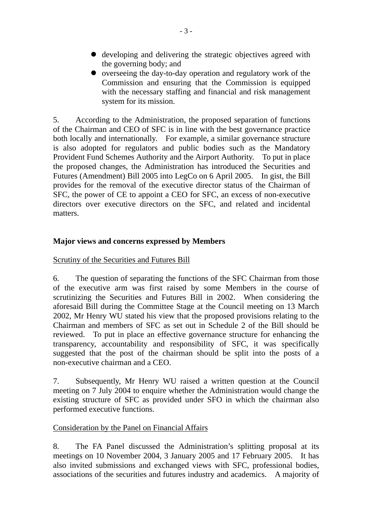- ! developing and delivering the strategic objectives agreed with the governing body; and
- ! overseeing the day-to-day operation and regulatory work of the Commission and ensuring that the Commission is equipped with the necessary staffing and financial and risk management system for its mission.

5. According to the Administration, the proposed separation of functions of the Chairman and CEO of SFC is in line with the best governance practice both locally and internationally. For example, a similar governance structure is also adopted for regulators and public bodies such as the Mandatory Provident Fund Schemes Authority and the Airport Authority. To put in place the proposed changes, the Administration has introduced the Securities and Futures (Amendment) Bill 2005 into LegCo on 6 April 2005. In gist, the Bill provides for the removal of the executive director status of the Chairman of SFC, the power of CE to appoint a CEO for SFC, an excess of non-executive directors over executive directors on the SFC, and related and incidental matters.

# **Major views and concerns expressed by Members**

Scrutiny of the Securities and Futures Bill

6. The question of separating the functions of the SFC Chairman from those of the executive arm was first raised by some Members in the course of scrutinizing the Securities and Futures Bill in 2002. When considering the aforesaid Bill during the Committee Stage at the Council meeting on 13 March 2002, Mr Henry WU stated his view that the proposed provisions relating to the Chairman and members of SFC as set out in Schedule 2 of the Bill should be reviewed. To put in place an effective governance structure for enhancing the transparency, accountability and responsibility of SFC, it was specifically suggested that the post of the chairman should be split into the posts of a non-executive chairman and a CEO.

7. Subsequently, Mr Henry WU raised a written question at the Council meeting on 7 July 2004 to enquire whether the Administration would change the existing structure of SFC as provided under SFO in which the chairman also performed executive functions.

# Consideration by the Panel on Financial Affairs

8. The FA Panel discussed the Administration's splitting proposal at its meetings on 10 November 2004, 3 January 2005 and 17 February 2005. It has also invited submissions and exchanged views with SFC, professional bodies, associations of the securities and futures industry and academics. A majority of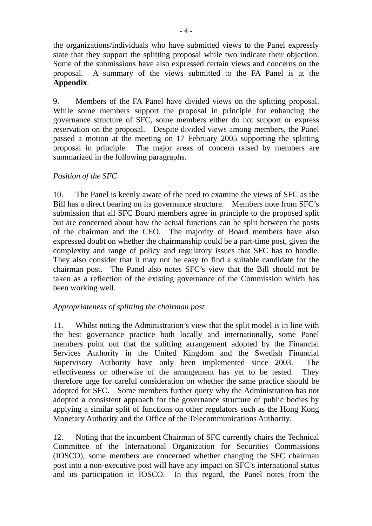the organizations/individuals who have submitted views to the Panel expressly state that they support the splitting proposal while two indicate their objection. Some of the submissions have also expressed certain views and concerns on the proposal. A summary of the views submitted to the FA Panel is at the **Appendix**.

9. Members of the FA Panel have divided views on the splitting proposal. While some members support the proposal in principle for enhancing the governance structure of SFC, some members either do not support or express reservation on the proposal. Despite divided views among members, the Panel passed a motion at the meeting on 17 February 2005 supporting the splitting proposal in principle. The major areas of concern raised by members are summarized in the following paragraphs.

# *Position of the SFC*

10. The Panel is keenly aware of the need to examine the views of SFC as the Bill has a direct bearing on its governance structure. Members note from SFC's submission that all SFC Board members agree in principle to the proposed split but are concerned about how the actual functions can be split between the posts of the chairman and the CEO. The majority of Board members have also expressed doubt on whether the chairmanship could be a part-time post, given the complexity and range of policy and regulatory issues that SFC has to handle. They also consider that it may not be easy to find a suitable candidate for the chairman post. The Panel also notes SFC's view that the Bill should not be taken as a reflection of the existing governance of the Commission which has been working well.

# *Appropriateness of splitting the chairman post*

11. Whilst noting the Administration's view that the split model is in line with the best governance practice both locally and internationally, some Panel members point out that the splitting arrangement adopted by the Financial Services Authority in the United Kingdom and the Swedish Financial Supervisory Authority have only been implemented since 2003. The effectiveness or otherwise of the arrangement has yet to be tested. They therefore urge for careful consideration on whether the same practice should be adopted for SFC. Some members further query why the Administration has not adopted a consistent approach for the governance structure of public bodies by applying a similar split of functions on other regulators such as the Hong Kong Monetary Authority and the Office of the Telecommunications Authority.

12. Noting that the incumbent Chairman of SFC currently chairs the Technical Committee of the International Organization for Securities Commissions (IOSCO), some members are concerned whether changing the SFC chairman post into a non-executive post will have any impact on SFC's international status and its participation in IOSCO. In this regard, the Panel notes from the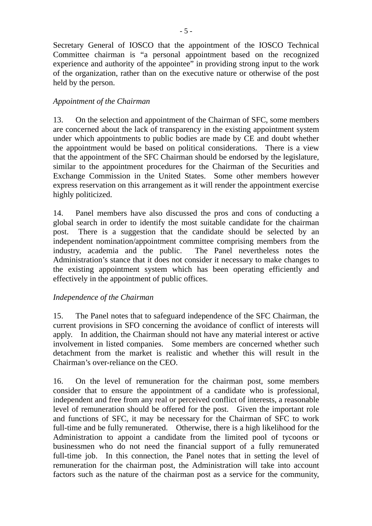Secretary General of IOSCO that the appointment of the IOSCO Technical Committee chairman is "a personal appointment based on the recognized experience and authority of the appointee" in providing strong input to the work of the organization, rather than on the executive nature or otherwise of the post held by the person.

# *Appointment of the Chairman*

13. On the selection and appointment of the Chairman of SFC, some members are concerned about the lack of transparency in the existing appointment system under which appointments to public bodies are made by CE and doubt whether the appointment would be based on political considerations. There is a view that the appointment of the SFC Chairman should be endorsed by the legislature, similar to the appointment procedures for the Chairman of the Securities and Exchange Commission in the United States. Some other members however express reservation on this arrangement as it will render the appointment exercise highly politicized.

14. Panel members have also discussed the pros and cons of conducting a global search in order to identify the most suitable candidate for the chairman post. There is a suggestion that the candidate should be selected by an independent nomination/appointment committee comprising members from the industry, academia and the public. The Panel nevertheless notes the Administration's stance that it does not consider it necessary to make changes to the existing appointment system which has been operating efficiently and effectively in the appointment of public offices.

# *Independence of the Chairman*

15. The Panel notes that to safeguard independence of the SFC Chairman, the current provisions in SFO concerning the avoidance of conflict of interests will apply. In addition, the Chairman should not have any material interest or active involvement in listed companies. Some members are concerned whether such detachment from the market is realistic and whether this will result in the Chairman's over-reliance on the CEO.

16. On the level of remuneration for the chairman post, some members consider that to ensure the appointment of a candidate who is professional, independent and free from any real or perceived conflict of interests, a reasonable level of remuneration should be offered for the post. Given the important role and functions of SFC, it may be necessary for the Chairman of SFC to work full-time and be fully remunerated. Otherwise, there is a high likelihood for the Administration to appoint a candidate from the limited pool of tycoons or businessmen who do not need the financial support of a fully remunerated full-time job. In this connection, the Panel notes that in setting the level of remuneration for the chairman post, the Administration will take into account factors such as the nature of the chairman post as a service for the community,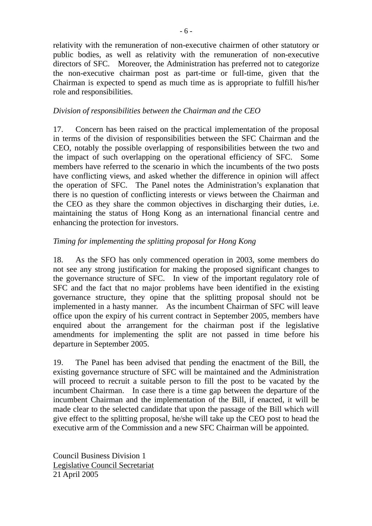relativity with the remuneration of non-executive chairmen of other statutory or public bodies, as well as relativity with the remuneration of non-executive directors of SFC. Moreover, the Administration has preferred not to categorize the non-executive chairman post as part-time or full-time, given that the Chairman is expected to spend as much time as is appropriate to fulfill his/her role and responsibilities.

# *Division of responsibilities between the Chairman and the CEO*

17. Concern has been raised on the practical implementation of the proposal in terms of the division of responsibilities between the SFC Chairman and the CEO, notably the possible overlapping of responsibilities between the two and the impact of such overlapping on the operational efficiency of SFC. Some members have referred to the scenario in which the incumbents of the two posts have conflicting views, and asked whether the difference in opinion will affect the operation of SFC. The Panel notes the Administration's explanation that there is no question of conflicting interests or views between the Chairman and the CEO as they share the common objectives in discharging their duties, i.e. maintaining the status of Hong Kong as an international financial centre and enhancing the protection for investors.

# *Timing for implementing the splitting proposal for Hong Kong*

18. As the SFO has only commenced operation in 2003, some members do not see any strong justification for making the proposed significant changes to the governance structure of SFC. In view of the important regulatory role of SFC and the fact that no major problems have been identified in the existing governance structure, they opine that the splitting proposal should not be implemented in a hasty manner. As the incumbent Chairman of SFC will leave office upon the expiry of his current contract in September 2005, members have enquired about the arrangement for the chairman post if the legislative amendments for implementing the split are not passed in time before his departure in September 2005.

19. The Panel has been advised that pending the enactment of the Bill, the existing governance structure of SFC will be maintained and the Administration will proceed to recruit a suitable person to fill the post to be vacated by the incumbent Chairman. In case there is a time gap between the departure of the incumbent Chairman and the implementation of the Bill, if enacted, it will be made clear to the selected candidate that upon the passage of the Bill which will give effect to the splitting proposal, he/she will take up the CEO post to head the executive arm of the Commission and a new SFC Chairman will be appointed.

Council Business Division 1 Legislative Council Secretariat 21 April 2005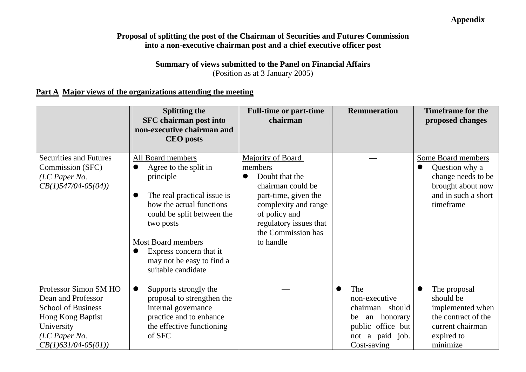# **Appendix**

# **Proposal of splitting the post of the Chairman of Securities and Futures Commission into a non-executive chairman post and a chief executive officer post**

#### **Summary of views submitted to the Panel on Financial Affairs**  (Position as at 3 January 2005)

# **Part A Major views of the organizations attending the meeting**

|                                                                                                                                                       | <b>Splitting the</b><br><b>SFC</b> chairman post into<br>non-executive chairman and<br><b>CEO</b> posts                                                                                                                                                                               | <b>Full-time or part-time</b><br>chairman                                                                                                                                                         | <b>Remuneration</b>                                                                                                 | <b>Timeframe for the</b><br>proposed changes                                                                        |
|-------------------------------------------------------------------------------------------------------------------------------------------------------|---------------------------------------------------------------------------------------------------------------------------------------------------------------------------------------------------------------------------------------------------------------------------------------|---------------------------------------------------------------------------------------------------------------------------------------------------------------------------------------------------|---------------------------------------------------------------------------------------------------------------------|---------------------------------------------------------------------------------------------------------------------|
| <b>Securities and Futures</b><br>Commission (SFC)<br>(LC Paper No.<br>$CB(1)$ 547/04-05(04))                                                          | All Board members<br>Agree to the split in<br>principle<br>The real practical issue is<br>$\bullet$<br>how the actual functions<br>could be split between the<br>two posts<br><b>Most Board members</b><br>Express concern that it<br>may not be easy to find a<br>suitable candidate | Majority of Board<br>members<br>Doubt that the<br>chairman could be<br>part-time, given the<br>complexity and range<br>of policy and<br>regulatory issues that<br>the Commission has<br>to handle |                                                                                                                     | Some Board members<br>Question why a<br>change needs to be<br>brought about now<br>and in such a short<br>timeframe |
| Professor Simon SM HO<br>Dean and Professor<br><b>School of Business</b><br>Hong Kong Baptist<br>University<br>(LC Paper No.<br>$CB(1)631/04-05(01))$ | Supports strongly the<br>$\bullet$<br>proposal to strengthen the<br>internal governance<br>practice and to enhance<br>the effective functioning<br>of SFC                                                                                                                             |                                                                                                                                                                                                   | The<br>non-executive<br>chairman should<br>an honorary<br>be<br>public office but<br>not a paid job.<br>Cost-saving | The proposal<br>should be<br>implemented when<br>the contract of the<br>current chairman<br>expired to<br>minimize  |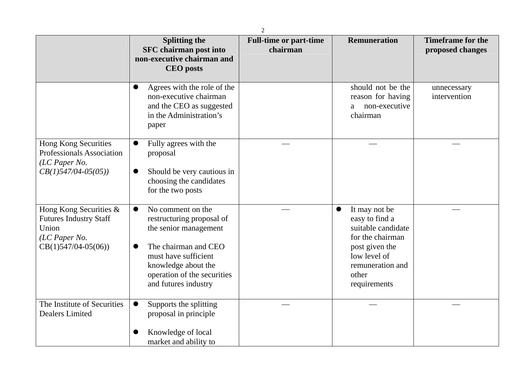|                                                                                                            | <b>Splitting the</b><br><b>SFC</b> chairman post into<br>non-executive chairman and<br><b>CEO</b> posts                                                                                                    | <b>Full-time or part-time</b><br>chairman | <b>Remuneration</b>                                                                                                                                                   | <b>Timeframe for the</b><br>proposed changes |
|------------------------------------------------------------------------------------------------------------|------------------------------------------------------------------------------------------------------------------------------------------------------------------------------------------------------------|-------------------------------------------|-----------------------------------------------------------------------------------------------------------------------------------------------------------------------|----------------------------------------------|
|                                                                                                            | Agrees with the role of the<br>0<br>non-executive chairman<br>and the CEO as suggested<br>in the Administration's<br>paper                                                                                 |                                           | should not be the<br>reason for having<br>non-executive<br>a<br>chairman                                                                                              | unnecessary<br>intervention                  |
| <b>Hong Kong Securities</b><br><b>Professionals Association</b><br>(LC Paper No.<br>$CB(1)$ 547/04-05(05)) | Fully agrees with the<br>proposal<br>Should be very cautious in<br>choosing the candidates<br>for the two posts                                                                                            |                                           |                                                                                                                                                                       |                                              |
| Hong Kong Securities &<br><b>Futures Industry Staff</b><br>Union<br>(LC Paper No.<br>$CB(1)547/04-05(06))$ | No comment on the<br>●<br>restructuring proposal of<br>the senior management<br>The chairman and CEO<br>must have sufficient<br>knowledge about the<br>operation of the securities<br>and futures industry |                                           | It may not be<br>$\bullet$<br>easy to find a<br>suitable candidate<br>for the chairman<br>post given the<br>low level of<br>remuneration and<br>other<br>requirements |                                              |
| The Institute of Securities<br><b>Dealers Limited</b>                                                      | Supports the splitting<br>$\bullet$<br>proposal in principle<br>Knowledge of local<br>market and ability to                                                                                                |                                           |                                                                                                                                                                       |                                              |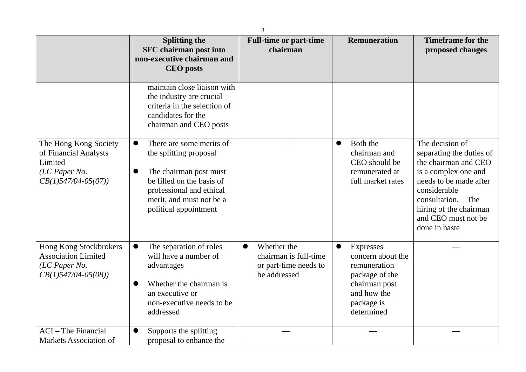|                                                                                                        | <b>Splitting the</b><br><b>SFC</b> chairman post into<br>non-executive chairman and<br><b>CEO</b> posts                                                                                                 | <b>Full-time or part-time</b><br>chairman                                                  | <b>Remuneration</b>                                                                                                                 | <b>Timeframe for the</b><br>proposed changes                                                                                                                                                                                    |
|--------------------------------------------------------------------------------------------------------|---------------------------------------------------------------------------------------------------------------------------------------------------------------------------------------------------------|--------------------------------------------------------------------------------------------|-------------------------------------------------------------------------------------------------------------------------------------|---------------------------------------------------------------------------------------------------------------------------------------------------------------------------------------------------------------------------------|
|                                                                                                        | maintain close liaison with<br>the industry are crucial<br>criteria in the selection of<br>candidates for the<br>chairman and CEO posts                                                                 |                                                                                            |                                                                                                                                     |                                                                                                                                                                                                                                 |
| The Hong Kong Society<br>of Financial Analysts<br>Limited<br>$(LC$ Paper No.<br>$CB(1)$ 547/04-05(07)) | There are some merits of<br>$\bullet$<br>the splitting proposal<br>The chairman post must<br>be filled on the basis of<br>professional and ethical<br>merit, and must not be a<br>political appointment |                                                                                            | Both the<br>$\bullet$<br>chairman and<br>CEO should be<br>remunerated at<br>full market rates                                       | The decision of<br>separating the duties of<br>the chairman and CEO<br>is a complex one and<br>needs to be made after<br>considerable<br>consultation.<br>The<br>hiring of the chairman<br>and CEO must not be<br>done in haste |
| Hong Kong Stockbrokers<br><b>Association Limited</b><br>(LC Paper No.<br>$CB(1)$ 547/04-05(08))        | The separation of roles<br>will have a number of<br>advantages<br>Whether the chairman is<br>an executive or<br>non-executive needs to be<br>addressed                                                  | Whether the<br>$\bullet$<br>chairman is full-time<br>or part-time needs to<br>be addressed | <b>Expresses</b><br>concern about the<br>remuneration<br>package of the<br>chairman post<br>and how the<br>package is<br>determined |                                                                                                                                                                                                                                 |
| <b>ACI</b> – The Financial<br>Markets Association of                                                   | Supports the splitting<br>proposal to enhance the                                                                                                                                                       |                                                                                            |                                                                                                                                     |                                                                                                                                                                                                                                 |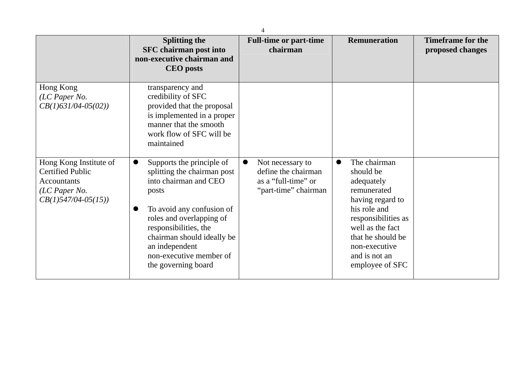|                                                                                                                    | <b>Splitting the</b><br><b>SFC</b> chairman post into<br>non-executive chairman and<br><b>CEO</b> posts                                                                                                                                                                        | <b>Full-time or part-time</b><br>chairman                                              | <b>Remuneration</b>                                                                                                                                                                                             | <b>Timeframe for the</b><br>proposed changes |
|--------------------------------------------------------------------------------------------------------------------|--------------------------------------------------------------------------------------------------------------------------------------------------------------------------------------------------------------------------------------------------------------------------------|----------------------------------------------------------------------------------------|-----------------------------------------------------------------------------------------------------------------------------------------------------------------------------------------------------------------|----------------------------------------------|
| Hong Kong<br>(LC Paper No.<br>$CB(1)631/04-05(02))$                                                                | transparency and<br>credibility of SFC<br>provided that the proposal<br>is implemented in a proper<br>manner that the smooth<br>work flow of SFC will be<br>maintained                                                                                                         |                                                                                        |                                                                                                                                                                                                                 |                                              |
| Hong Kong Institute of<br><b>Certified Public</b><br><b>Accountants</b><br>(LC Paper No.<br>$CB(1)$ 547/04-05(15)) | Supports the principle of<br>splitting the chairman post<br>into chairman and CEO<br>posts<br>To avoid any confusion of<br>roles and overlapping of<br>responsibilities, the<br>chairman should ideally be<br>an independent<br>non-executive member of<br>the governing board | Not necessary to<br>define the chairman<br>as a "full-time" or<br>"part-time" chairman | The chairman<br>should be<br>adequately<br>remunerated<br>having regard to<br>his role and<br>responsibilities as<br>well as the fact<br>that he should be<br>non-executive<br>and is not an<br>employee of SFC |                                              |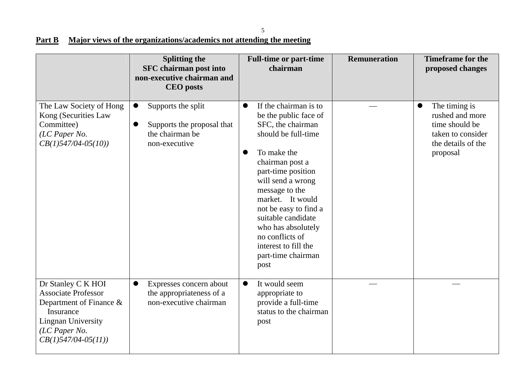5

# **Part B** Major views of the organizations/academics not attending the meeting

|                                                                                                                                                                     | <b>Splitting the</b><br><b>SFC</b> chairman post into<br>non-executive chairman and<br><b>CEO</b> posts        | <b>Full-time or part-time</b><br>chairman                                                                                                                                                                                                                                                                                                                                             | <b>Remuneration</b> | <b>Timeframe for the</b><br>proposed changes                                                              |
|---------------------------------------------------------------------------------------------------------------------------------------------------------------------|----------------------------------------------------------------------------------------------------------------|---------------------------------------------------------------------------------------------------------------------------------------------------------------------------------------------------------------------------------------------------------------------------------------------------------------------------------------------------------------------------------------|---------------------|-----------------------------------------------------------------------------------------------------------|
| The Law Society of Hong<br>Kong (Securities Law<br>Committee)<br>(LC Paper No.<br>$CB(1)$ 547/04-05(10))                                                            | Supports the split<br>$\bullet$<br>Supports the proposal that<br>$\bullet$<br>the chairman be<br>non-executive | If the chairman is to<br>$\bullet$<br>be the public face of<br>SFC, the chairman<br>should be full-time<br>To make the<br>$\bullet$<br>chairman post a<br>part-time position<br>will send a wrong<br>message to the<br>market. It would<br>not be easy to find a<br>suitable candidate<br>who has absolutely<br>no conflicts of<br>interest to fill the<br>part-time chairman<br>post |                     | The timing is<br>rushed and more<br>time should be<br>taken to consider<br>the details of the<br>proposal |
| Dr Stanley C K HOI<br><b>Associate Professor</b><br>Department of Finance $\&$<br>Insurance<br><b>Lingnan University</b><br>(LC Paper No.<br>$CB(1)$ 547/04-05(11)) | Expresses concern about<br>$\bullet$<br>the appropriateness of a<br>non-executive chairman                     | It would seem<br>$\bullet$<br>appropriate to<br>provide a full-time<br>status to the chairman<br>post                                                                                                                                                                                                                                                                                 |                     |                                                                                                           |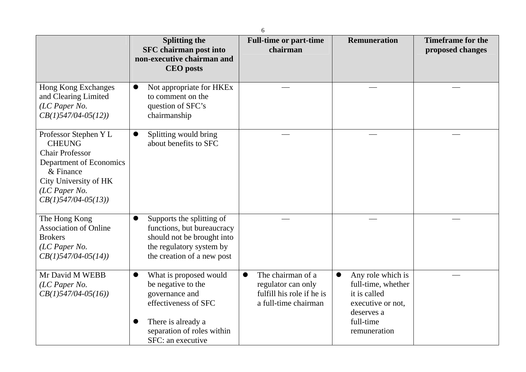|                                                                                                                                                                              | 6                                                                                                                                                               |                                                                                                           |                                                                                                                         |                                              |  |  |
|------------------------------------------------------------------------------------------------------------------------------------------------------------------------------|-----------------------------------------------------------------------------------------------------------------------------------------------------------------|-----------------------------------------------------------------------------------------------------------|-------------------------------------------------------------------------------------------------------------------------|----------------------------------------------|--|--|
|                                                                                                                                                                              | <b>Splitting the</b><br><b>SFC</b> chairman post into<br>non-executive chairman and<br><b>CEO</b> posts                                                         | <b>Full-time or part-time</b><br>chairman                                                                 | <b>Remuneration</b>                                                                                                     | <b>Timeframe for the</b><br>proposed changes |  |  |
| Hong Kong Exchanges<br>and Clearing Limited<br>(LC Paper No.<br>$CB(1)$ 547/04-05(12))                                                                                       | Not appropriate for HKEx<br>to comment on the<br>question of SFC's<br>chairmanship                                                                              |                                                                                                           |                                                                                                                         |                                              |  |  |
| Professor Stephen Y L<br><b>CHEUNG</b><br><b>Chair Professor</b><br>Department of Economics<br>& Finance<br>City University of HK<br>(LC Paper No.<br>$CB(1)$ 547/04-05(13)) | Splitting would bring<br>$\bullet$<br>about benefits to SFC                                                                                                     |                                                                                                           |                                                                                                                         |                                              |  |  |
| The Hong Kong<br><b>Association of Online</b><br><b>Brokers</b><br>(LC Paper No.<br>$CB(1)$ 547/04-05(14))                                                                   | Supports the splitting of<br>$\bullet$<br>functions, but bureaucracy<br>should not be brought into<br>the regulatory system by<br>the creation of a new post    |                                                                                                           |                                                                                                                         |                                              |  |  |
| Mr David M WEBB<br>$(LC$ Paper No.<br>$CB(1)$ 547/04-05(16))                                                                                                                 | What is proposed would<br>be negative to the<br>governance and<br>effectiveness of SFC<br>There is already a<br>separation of roles within<br>SFC: an executive | The chairman of a<br>$\bullet$<br>regulator can only<br>fulfill his role if he is<br>a full-time chairman | Any role which is<br>full-time, whether<br>it is called<br>executive or not,<br>deserves a<br>full-time<br>remuneration |                                              |  |  |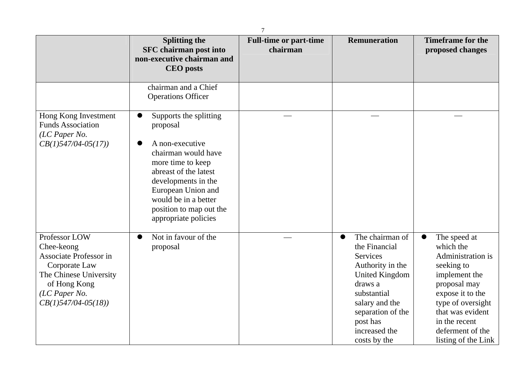|                                                                                                                                                             | <b>Splitting the</b><br><b>SFC</b> chairman post into<br>non-executive chairman and<br><b>CEO</b> posts                                                                                                                                            | <b>Full-time or part-time</b><br>chairman | <b>Remuneration</b>                                                                                                                                                                                                  | <b>Timeframe for the</b><br>proposed changes                                                                                                                                                                                        |
|-------------------------------------------------------------------------------------------------------------------------------------------------------------|----------------------------------------------------------------------------------------------------------------------------------------------------------------------------------------------------------------------------------------------------|-------------------------------------------|----------------------------------------------------------------------------------------------------------------------------------------------------------------------------------------------------------------------|-------------------------------------------------------------------------------------------------------------------------------------------------------------------------------------------------------------------------------------|
|                                                                                                                                                             | chairman and a Chief<br><b>Operations Officer</b>                                                                                                                                                                                                  |                                           |                                                                                                                                                                                                                      |                                                                                                                                                                                                                                     |
| Hong Kong Investment<br><b>Funds Association</b><br>(LC Paper No.<br>$CB(1)$ 547/04-05(17))                                                                 | Supports the splitting<br>proposal<br>A non-executive<br>chairman would have<br>more time to keep<br>abreast of the latest<br>developments in the<br>European Union and<br>would be in a better<br>position to map out the<br>appropriate policies |                                           |                                                                                                                                                                                                                      |                                                                                                                                                                                                                                     |
| Professor LOW<br>Chee-keong<br>Associate Professor in<br>Corporate Law<br>The Chinese University<br>of Hong Kong<br>(LC Paper No.<br>$CB(1)$ 547/04-05(18)) | Not in favour of the<br>proposal                                                                                                                                                                                                                   |                                           | The chairman of<br>$\bullet$<br>the Financial<br>Services<br>Authority in the<br><b>United Kingdom</b><br>draws a<br>substantial<br>salary and the<br>separation of the<br>post has<br>increased the<br>costs by the | The speed at<br>$\bullet$<br>which the<br>Administration is<br>seeking to<br>implement the<br>proposal may<br>expose it to the<br>type of oversight<br>that was evident<br>in the recent<br>deferment of the<br>listing of the Link |